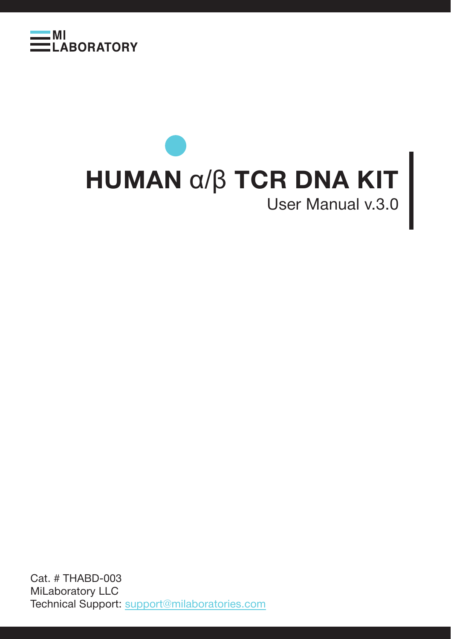

# **HUMAN** α/β **TCR DNA KIT** User Manual v.3.0

Cat. # THABD-003 MiLaboratory LLC Technical Support: support@milaboratories.com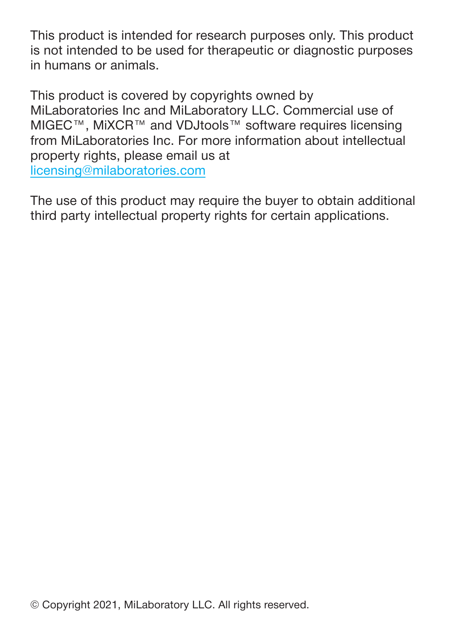This product is intended for research purposes only. This product is not intended to be used for therapeutic or diagnostic purposes in humans or animals.

This product is covered by copyrights owned by MiLaboratories Inc and MiLaboratory LLC. Commercial use of MIGEC™, MiXCR™ and VDJtools™ software requires licensing from MiLaboratories Inc. For more information about intellectual property rights, please email us at licensing@milaboratories.com

The use of this product may require the buyer to obtain additional third party intellectual property rights for certain applications.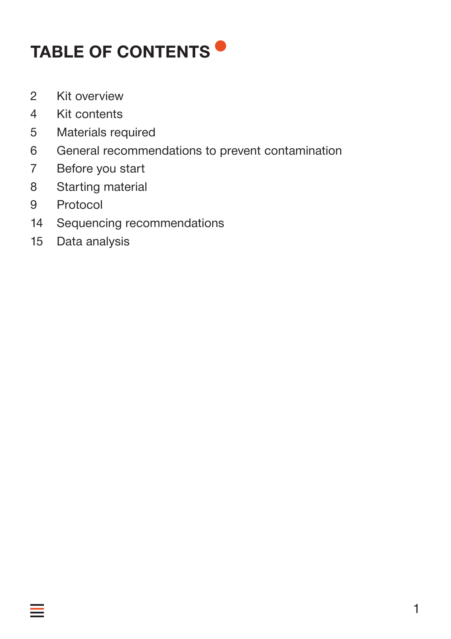# **TABLE OF CONTENTS**

- 2 Kit overview
- 4 Kit contents
- 5 Materials required
- 6 General recommendations to prevent contamination
- 7 Before you start
- 8 Starting material
- 9 Protocol
- 14 Sequencing recommendations
- 15 Data analysis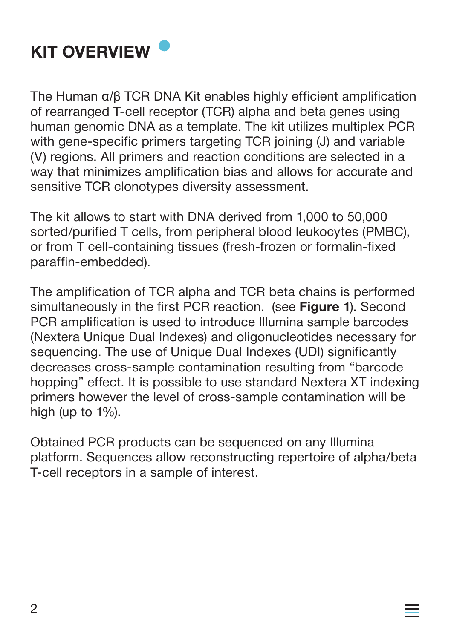## **KIT OVERVIEW**

The Human α/β TCR DNA Kit enables highly efficient amplification of rearranged T-cell receptor (TCR) alpha and beta genes using human genomic DNA as a template. The kit utilizes multiplex PCR with gene-specific primers targeting TCR joining (J) and variable (V) regions. All primers and reaction conditions are selected in a way that minimizes amplification bias and allows for accurate and sensitive TCR clonotypes diversity assessment.

The kit allows to start with DNA derived from 1,000 to 50,000 sorted/purified T cells, from peripheral blood leukocytes (PMBC), or from T cell-containing tissues (fresh-frozen or formalin-fixed paraffin-embedded).

The amplification of TCR alpha and TCR beta chains is performed simultaneously in the first PCR reaction. (see **Figure 1**). Second PCR amplification is used to introduce Illumina sample barcodes (Nextera Unique Dual Indexes) and oligonucleotides necessary for sequencing. The use of Unique Dual Indexes (UDI) significantly decreases cross-sample contamination resulting from "barcode hopping" effect. It is possible to use standard Nextera XT indexing primers however the level of cross-sample contamination will be high (up to 1%).

Obtained PCR products can be sequenced on any Illumina platform. Sequences allow reconstructing repertoire of alpha/beta T-cell receptors in a sample of interest.

═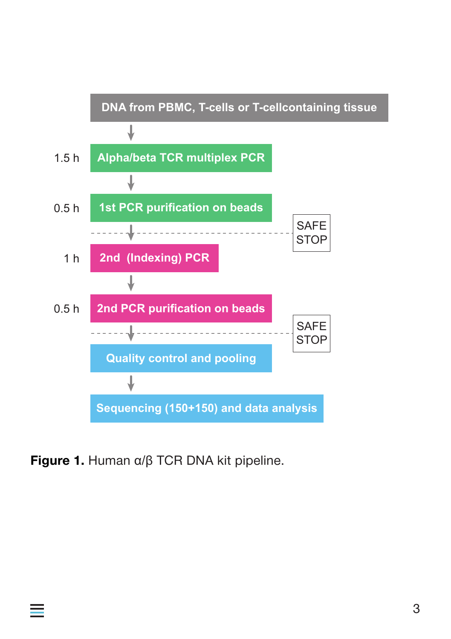

**Figure 1.** Human α/β TCR DNA kit pipeline.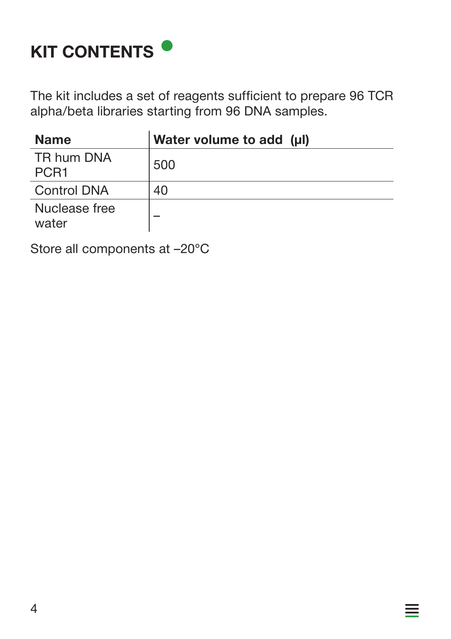

The kit includes a set of reagents sufficient to prepare 96 TCR alpha/beta libraries starting from 96 DNA samples.

| <b>Name</b>                    | Water volume to add (µl) |
|--------------------------------|--------------------------|
| TR hum DNA<br>PCR <sub>1</sub> | 500                      |
| <b>Control DNA</b>             | 40                       |
| Nuclease free<br>water         |                          |

 $\equiv$ 

Store all components at –20°C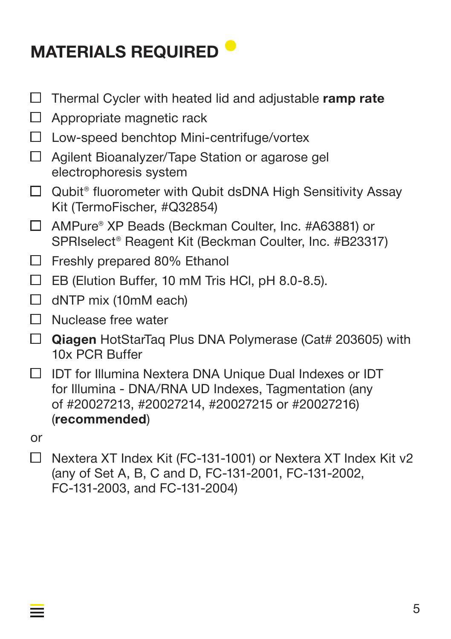# **MATERIALS REQUIRED**

- Thermal Cycler with heated lid and adjustable **ramp rate**
- $\Box$  Appropriate magnetic rack
- $\Box$  Low-speed benchtop Mini-centrifuge/vortex
- □ Agilent Bioanalyzer/Tape Station or agarose gel electrophoresis system
- $\Box$  Qubit<sup>®</sup> fluorometer with Qubit dsDNA High Sensitivity Assay Kit (TermoFischer, #Q32854)
- AMPure® XP Beads (Beckman Coulter, Inc. #A63881) or SPRIselect® Reagent Kit (Beckman Coulter, Inc. #B23317)
- $\Box$  Freshly prepared 80% Ethanol
- $\Box$  EB (Elution Buffer, 10 mM Tris HCl, pH 8.0-8.5).
- $\Box$  dNTP mix (10mM each)
- $\Box$  Nuclease free water
- **Qiagen** HotStarTaq Plus DNA Polymerase (Cat# 203605) with 10x PCR Buffer
- $\Box$  IDT for Illumina Nextera DNA Unique Dual Indexes or IDT for Illumina - DNA/RNA UD Indexes, Tagmentation (any of #20027213, #20027214, #20027215 or #20027216) (**recommended**)
- or
- $\Box$  Nextera XT Index Kit (FC-131-1001) or Nextera XT Index Kit v2 (any of Set A, B, C and D, FC-131-2001, FC-131-2002, FC-131-2003, and FC-131-2004)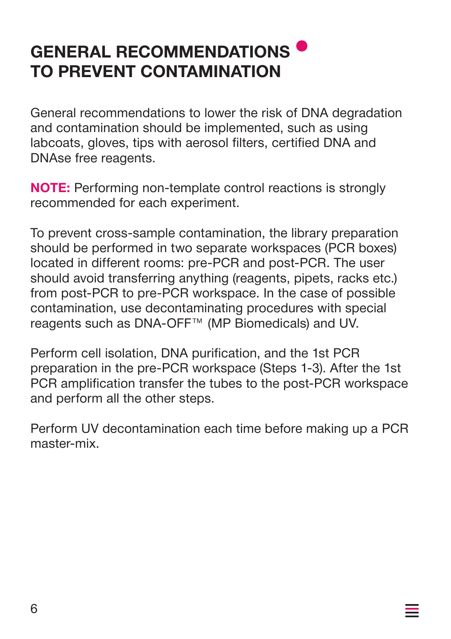### **GENERAL RECOMMENDATIONS TO PREVENT CONTAMINATION**

General recommendations to lower the risk of DNA degradation and contamination should be implemented, such as using labcoats, gloves, tips with aerosol filters, certified DNA and DNAse free reagents.

**NOTE:** Performing non-template control reactions is strongly recommended for each experiment.

To prevent cross-sample contamination, the library preparation should be performed in two separate workspaces (PCR boxes) located in different rooms: pre-PCR and post-PCR. The user should avoid transferring anything (reagents, pipets, racks etc.) from post-PCR to pre-PCR workspace. In the case of possible contamination, use decontaminating procedures with special reagents such as DNA-OFF™ (MP Biomedicals) and UV.

Perform cell isolation, DNA purification, and the 1st PCR preparation in the pre-PCR workspace (Steps 1-3). After the 1st PCR amplification transfer the tubes to the post-PCR workspace and perform all the other steps.

Perform UV decontamination each time before making up a PCR master-mix.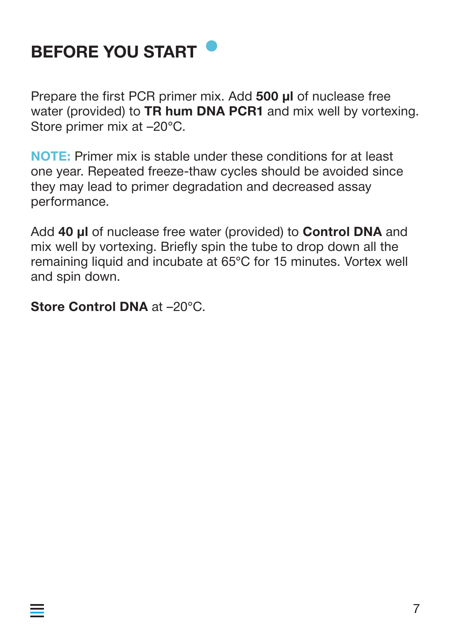

Prepare the first PCR primer mix. Add **500 μl** of nuclease free water (provided) to **TR hum DNA PCR1** and mix well by vortexing. Store primer mix at –20°C.

**NOTE:** Primer mix is stable under these conditions for at least one year. Repeated freeze-thaw cycles should be avoided since they may lead to primer degradation and decreased assay performance.

Add **40 μl** of nuclease free water (provided) to **Control DNA** and mix well by vortexing. Briefly spin the tube to drop down all the remaining liquid and incubate at 65°C for 15 minutes. Vortex well and spin down.

**Store Control DNA** at –20°C.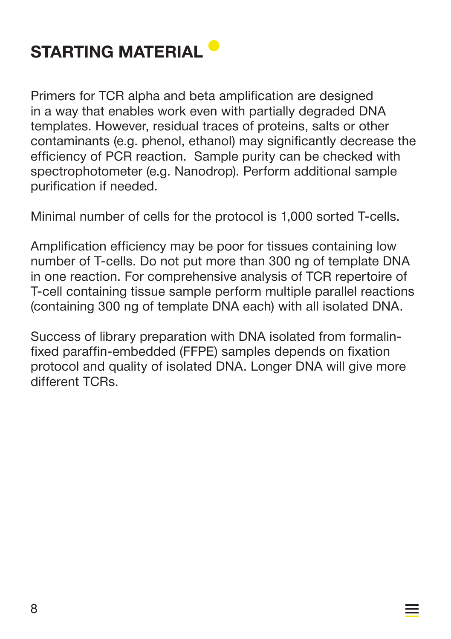### **STARTING MATERIAL**

Primers for TCR alpha and beta amplification are designed in a way that enables work even with partially degraded DNA templates. However, residual traces of proteins, salts or other contaminants (e.g. phenol, ethanol) may significantly decrease the efficiency of PCR reaction. Sample purity can be checked with spectrophotometer (e.g. Nanodrop). Perform additional sample purification if needed.

Minimal number of cells for the protocol is 1,000 sorted T-cells.

Amplification efficiency may be poor for tissues containing low number of T-cells. Do not put more than 300 ng of template DNA in one reaction. For comprehensive analysis of TCR repertoire of T-cell containing tissue sample perform multiple parallel reactions (containing 300 ng of template DNA each) with all isolated DNA.

Success of library preparation with DNA isolated from formalinfixed paraffin-embedded (FFPE) samples depends on fixation protocol and quality of isolated DNA. Longer DNA will give more different TCRs.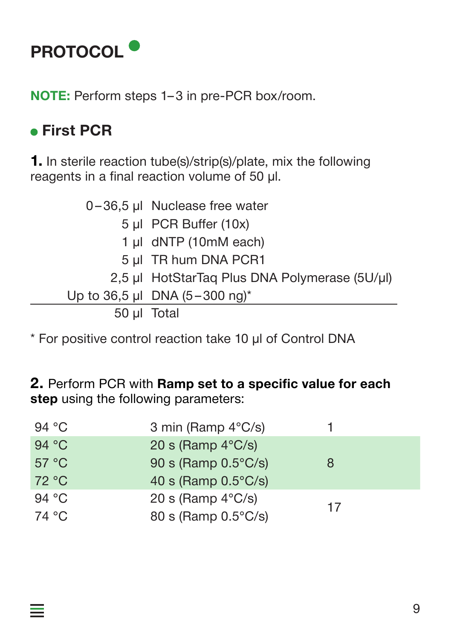

**NOTE:** Perform steps 1– 3 in pre-PCR box/room.

### **First PCR**

 $\equiv$ 

**1.** In sterile reaction tube(s)/strip(s)/plate, mix the following reagents in a final reaction volume of 50 μl.

|             | $0-36,5$ µl Nuclease free water               |
|-------------|-----------------------------------------------|
|             | 5 µl PCR Buffer (10x)                         |
|             | 1 µl dNTP (10mM each)                         |
|             | 5 µl TR hum DNA PCR1                          |
|             | 2,5 µl HotStarTaq Plus DNA Polymerase (5U/µl) |
|             | Up to 36,5 µl DNA $(5-300 \text{ ng})^*$      |
| 50 µl Total |                                               |

\* For positive control reaction take 10 μl of Control DNA

**2.** Perform PCR with **Ramp set to a specific value for each step** using the following parameters:

| 94 $^{\circ}$ C | 3 min (Ramp $4^{\circ}$ C/s)  |    |
|-----------------|-------------------------------|----|
| 94 °C           | 20 s (Ramp $4^{\circ}$ C/s)   |    |
| 57 °C           | 90 s (Ramp $0.5^{\circ}$ C/s) | 8  |
| 72 °C           | 40 s (Ramp $0.5^{\circ}$ C/s) |    |
| 94 °C           | 20 s (Ramp $4^{\circ}$ C/s)   | 17 |
| 74 °C           | 80 s (Ramp 0.5°C/s)           |    |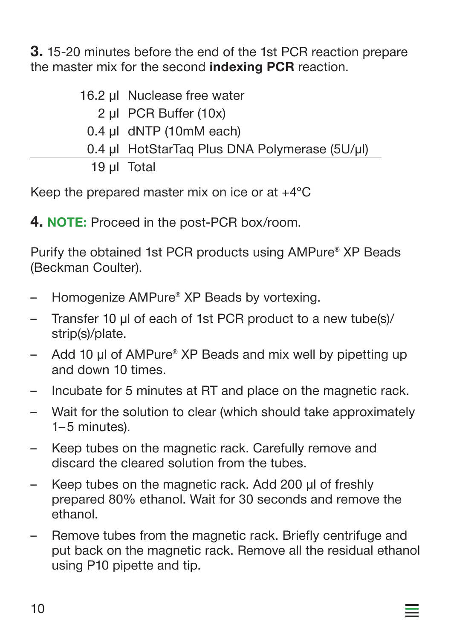**3.** 15-20 minutes before the end of the 1st PCR reaction prepare the master mix for the second **indexing PCR** reaction.

|             | 16.2 µl Nuclease free water                   |
|-------------|-----------------------------------------------|
|             | 2 µl PCR Buffer $(10x)$                       |
|             | $0.4$ µl dNTP (10mM each)                     |
|             | 0.4 µl HotStarTaq Plus DNA Polymerase (5U/µl) |
| 19 µl Total |                                               |

Keep the prepared master mix on ice or at +4°C

**4. NOTE:** Proceed in the post-PCR box/room.

Purify the obtained 1st PCR products using AMPure® XP Beads (Beckman Coulter).

- Homogenize AMPure<sup>®</sup> XP Beads by vortexing.
- – Transfer 10 μl of each of 1st PCR product to a new tube(s)/ strip(s)/plate.
- – Add 10 μl of AMPure® XP Beads and mix well by pipetting up and down 10 times.
- Incubate for 5 minutes at RT and place on the magnetic rack.
- Wait for the solution to clear (which should take approximately 1– 5 minutes).
- – Keep tubes on the magnetic rack. Carefully remove and discard the cleared solution from the tubes.
- – Keep tubes on the magnetic rack. Add 200 μl of freshly prepared 80% ethanol. Wait for 30 seconds and remove the ethanol.
- Remove tubes from the magnetic rack. Briefly centrifuge and put back on the magnetic rack. Remove all the residual ethanol using P10 pipette and tip.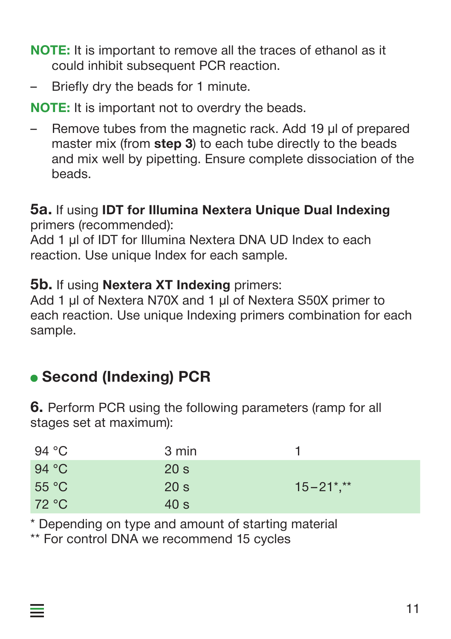- **NOTE:** It is important to remove all the traces of ethanol as it could inhibit subsequent PCR reaction.
- Briefly dry the beads for 1 minute.

**NOTE:** It is important not to overdry the beads.

Remove tubes from the magnetic rack. Add 19 μl of prepared master mix (from **step 3**) to each tube directly to the beads and mix well by pipetting. Ensure complete dissociation of the beads.

#### **5a.** If using **IDT for Illumina Nextera Unique Dual Indexing** primers (recommended):

Add 1  $\mu$ l of IDT for Illumina Nextera DNA UD Index to each reaction. Use unique Index for each sample.

#### **5b.** If using **Nextera XT Indexing** primers:

Add 1 μl of Nextera N70X and 1 μl of Nextera S50X primer to each reaction. Use unique Indexing primers combination for each sample.

### **Second (Indexing) PCR**

 $\equiv$ 

**6.** Perform PCR using the following parameters (ramp for all stages set at maximum):

| 94 °C          | 3 min           |                |
|----------------|-----------------|----------------|
| 94 $\degree$ C | 20 <sub>s</sub> |                |
| $55^{\circ}$ C | 20 s            | $15 - 21$ *,** |
| 72 °C          | 40 s            |                |

\* Depending on type and amount of starting material

\*\* For control DNA we recommend 15 cycles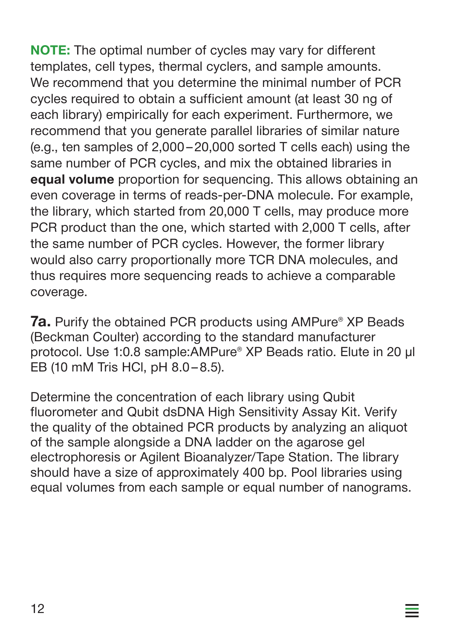**NOTE:** The optimal number of cycles may vary for different templates, cell types, thermal cyclers, and sample amounts. We recommend that you determine the minimal number of PCR cycles required to obtain a sufficient amount (at least 30 ng of each library) empirically for each experiment. Furthermore, we recommend that you generate parallel libraries of similar nature (e.g., ten samples of 2,000 – 20,000 sorted T cells each) using the same number of PCR cycles, and mix the obtained libraries in **equal volume** proportion for sequencing. This allows obtaining an even coverage in terms of reads-per-DNA molecule. For example, the library, which started from 20,000 T cells, may produce more PCR product than the one, which started with 2,000 T cells, after the same number of PCR cycles. However, the former library would also carry proportionally more TCR DNA molecules, and thus requires more sequencing reads to achieve a comparable coverage.

**7a.** Purify the obtained PCR products using AMPure® XP Beads (Beckman Coulter) according to the standard manufacturer protocol. Use 1:0.8 sample:AMPure® XP Beads ratio. Elute in 20 μl EB (10 mM Tris HCl, pH 8.0 – 8.5).

Determine the concentration of each library using Qubit fluorometer and Qubit dsDNA High Sensitivity Assay Kit. Verify the quality of the obtained PCR products by analyzing an aliquot of the sample alongside a DNA ladder on the agarose gel electrophoresis or Agilent Bioanalyzer/Tape Station. The library should have a size of approximately 400 bp. Pool libraries using equal volumes from each sample or equal number of nanograms.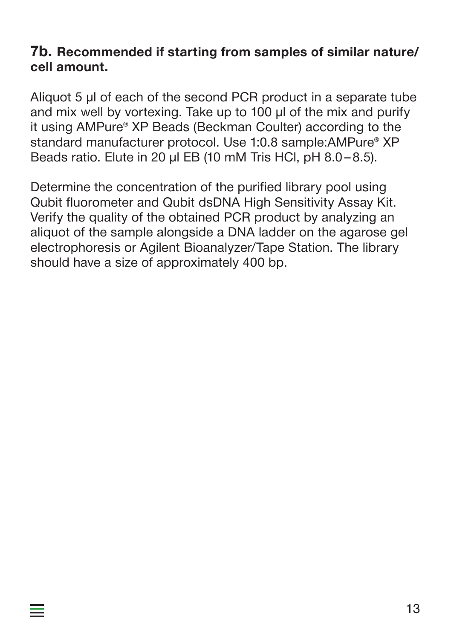#### **7b. Recommended if starting from samples of similar nature/ cell amount.**

Aliquot 5 μl of each of the second PCR product in a separate tube and mix well by vortexing. Take up to 100 μl of the mix and purify it using AMPure® XP Beads (Beckman Coulter) according to the standard manufacturer protocol. Use 1:0.8 sample:AMPure® XP Beads ratio. Elute in 20 μl EB (10 mM Tris HCl, pH 8.0 – 8.5).

Determine the concentration of the purified library pool using Qubit fluorometer and Qubit dsDNA High Sensitivity Assay Kit. Verify the quality of the obtained PCR product by analyzing an aliquot of the sample alongside a DNA ladder on the agarose gel electrophoresis or Agilent Bioanalyzer/Tape Station. The library should have a size of approximately 400 bp.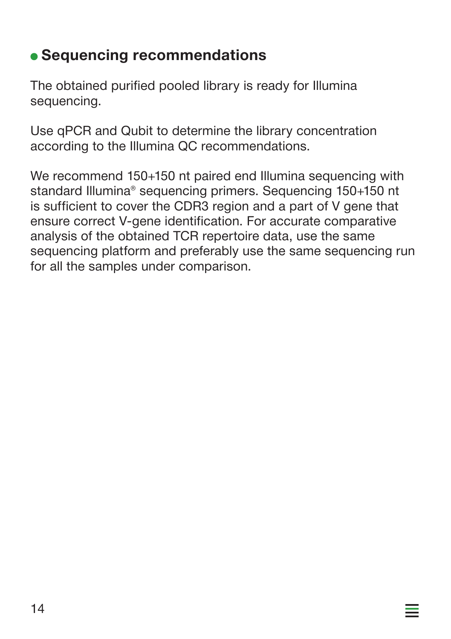### **Sequencing recommendations**

The obtained purified pooled library is ready for Illumina sequencing.

Use qPCR and Qubit to determine the library concentration according to the Illumina QC recommendations.

We recommend 150+150 nt paired end Illumina sequencing with standard Illumina® sequencing primers. Sequencing 150+150 nt is sufficient to cover the CDR3 region and a part of V gene that ensure correct V-gene identification. For accurate comparative analysis of the obtained TCR repertoire data, use the same sequencing platform and preferably use the same sequencing run for all the samples under comparison.